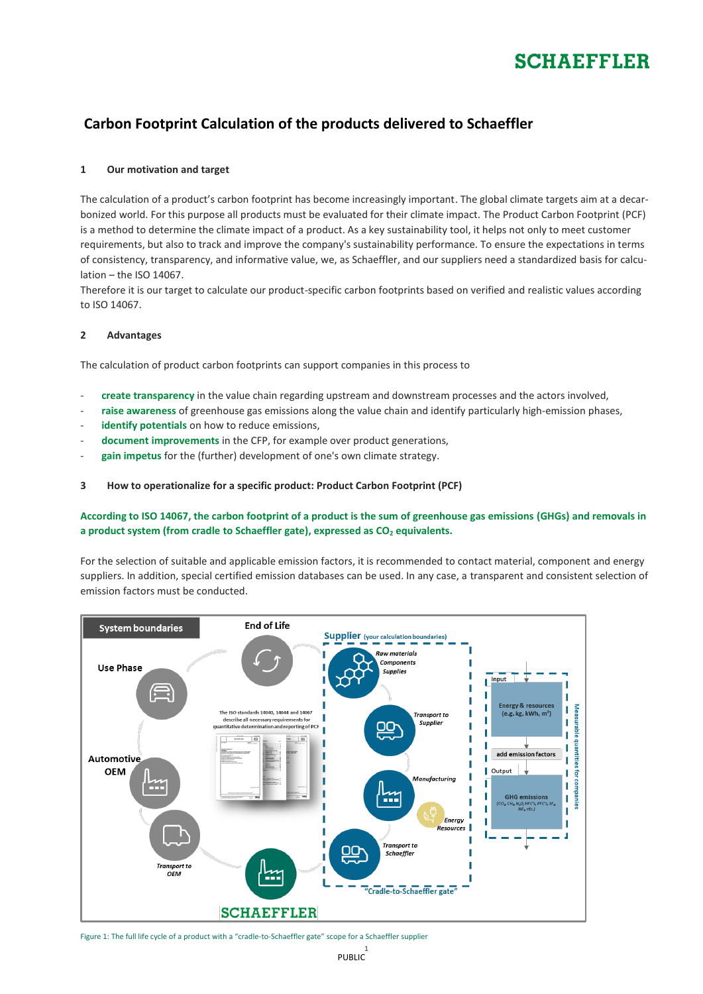# **SCHAFFFLER**

## **Carbon Footprint Calculation of the products delivered to Schaeffler**

### **1 Our motivation and target**

The calculation of a product's carbon footprint has become increasingly important. The global climate targets aim at a decarbonized world. For this purpose all products must be evaluated for their climate impact. The Product Carbon Footprint (PCF) is a method to determine the climate impact of a product. As a key sustainability tool, it helps not only to meet customer requirements, but also to track and improve the company's sustainability performance. To ensure the expectations in terms of consistency, transparency, and informative value, we, as Schaeffler, and our suppliers need a standardized basis for calculation – the ISO 14067.

Therefore it is our target to calculate our product-specific carbon footprints based on verified and realistic values according to ISO 14067.

### **2 Advantages**

The calculation of product carbon footprints can support companies in this process to

- **create transparency** in the value chain regarding upstream and downstream processes and the actors involved,
- **raise awareness** of greenhouse gas emissions along the value chain and identify particularly high-emission phases,
- identify potentials on how to reduce emissions,
- **document improvements** in the CFP, for example over product generations,
- gain impetus for the (further) development of one's own climate strategy.

### **3 How to operationalize for a specific product: Product Carbon Footprint (PCF)**

### **According to ISO 14067, the carbon footprint of a product is the sum of greenhouse gas emissions (GHGs) and removals in a product system (from cradle to Schaeffler gate), expressed as CO<sup>2</sup> equivalents.**

For the selection of suitable and applicable emission factors, it is recommended to contact material, component and energy suppliers. In addition, special certified emission databases can be used. In any case, a transparent and consistent selection of emission factors must be conducted.



Figure 1: The full life cycle of a product with a "cradle-to-Schaeffler gate" scope for a Schaeffler supplier